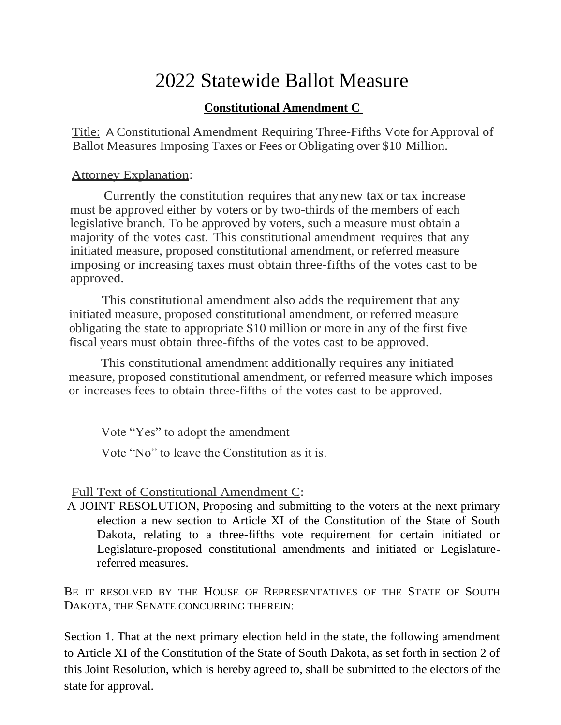## 2022 Statewide Ballot Measure

## **Constitutional Amendment C**

Title: A Constitutional Amendment Requiring Three-Fifths Vote for Approval of Ballot Measures Imposing Taxes or Fees or Obligating over \$10 Million.

## Attorney Explanation:

Currently the constitution requires that any new tax or tax increase must be approved either by voters or by two-thirds of the members of each legislative branch. To be approved by voters, such a measure must obtain a majority of the votes cast. This constitutional amendment requires that any initiated measure, proposed constitutional amendment, or referred measure imposing or increasing taxes must obtain three-fifths of the votes cast to be approved.

This constitutional amendment also adds the requirement that any initiated measure, proposed constitutional amendment, or referred measure obligating the state to appropriate \$10 million or more in any of the first five fiscal years must obtain three-fifths of the votes cast to be approved.

This constitutional amendment additionally requires any initiated measure, proposed constitutional amendment, or referred measure which imposes or increases fees to obtain three-fifths of the votes cast to be approved.

Vote "Yes" to adopt the amendment

Vote "No" to leave the Constitution as it is.

## Full Text of Constitutional Amendment C:

A JOINT RESOLUTION, Proposing and submitting to the voters at the next primary election a new section to Article XI of the Constitution of the State of South Dakota, relating to a three-fifths vote requirement for certain initiated or Legislature-proposed constitutional amendments and initiated or Legislaturereferred measures.

BE IT RESOLVED BY THE HOUSE OF REPRESENTATIVES OF THE STATE OF SOUTH DAKOTA, THE SENATE CONCURRING THEREIN:

Section 1. That at the next primary election held in the state, the following amendment to Article XI of the Constitution of the State of South Dakota, as set forth in section 2 of this Joint Resolution, which is hereby agreed to, shall be submitted to the electors of the state for approval.